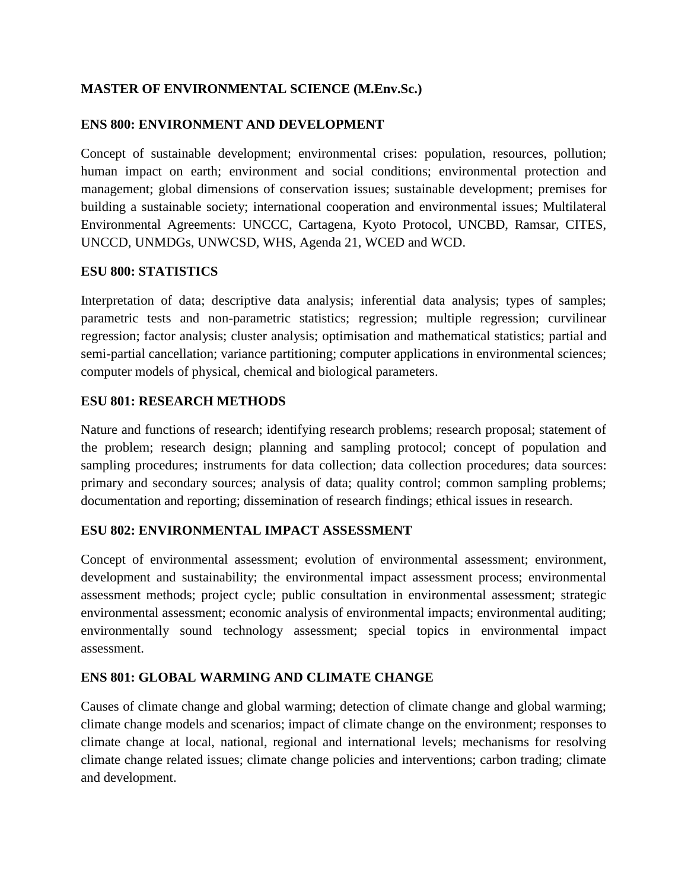# **MASTER OF ENVIRONMENTAL SCIENCE (M.Env.Sc.)**

# **ENS 800: ENVIRONMENT AND DEVELOPMENT**

Concept of sustainable development; environmental crises: population, resources, pollution; human impact on earth; environment and social conditions; environmental protection and management; global dimensions of conservation issues; sustainable development; premises for building a sustainable society; international cooperation and environmental issues; Multilateral Environmental Agreements: UNCCC, Cartagena, Kyoto Protocol, UNCBD, Ramsar, CITES, UNCCD, UNMDGs, UNWCSD, WHS, Agenda 21, WCED and WCD.

### **ESU 800: STATISTICS**

Interpretation of data; descriptive data analysis; inferential data analysis; types of samples; parametric tests and non-parametric statistics; regression; multiple regression; curvilinear regression; factor analysis; cluster analysis; optimisation and mathematical statistics; partial and semi-partial cancellation; variance partitioning; computer applications in environmental sciences; computer models of physical, chemical and biological parameters.

# **ESU 801: RESEARCH METHODS**

Nature and functions of research; identifying research problems; research proposal; statement of the problem; research design; planning and sampling protocol; concept of population and sampling procedures; instruments for data collection; data collection procedures; data sources: primary and secondary sources; analysis of data; quality control; common sampling problems; documentation and reporting; dissemination of research findings; ethical issues in research.

# **ESU 802: ENVIRONMENTAL IMPACT ASSESSMENT**

Concept of environmental assessment; evolution of environmental assessment; environment, development and sustainability; the environmental impact assessment process; environmental assessment methods; project cycle; public consultation in environmental assessment; strategic environmental assessment; economic analysis of environmental impacts; environmental auditing; environmentally sound technology assessment; special topics in environmental impact assessment.

# **ENS 801: GLOBAL WARMING AND CLIMATE CHANGE**

Causes of climate change and global warming; detection of climate change and global warming; climate change models and scenarios; impact of climate change on the environment; responses to climate change at local, national, regional and international levels; mechanisms for resolving climate change related issues; climate change policies and interventions; carbon trading; climate and development.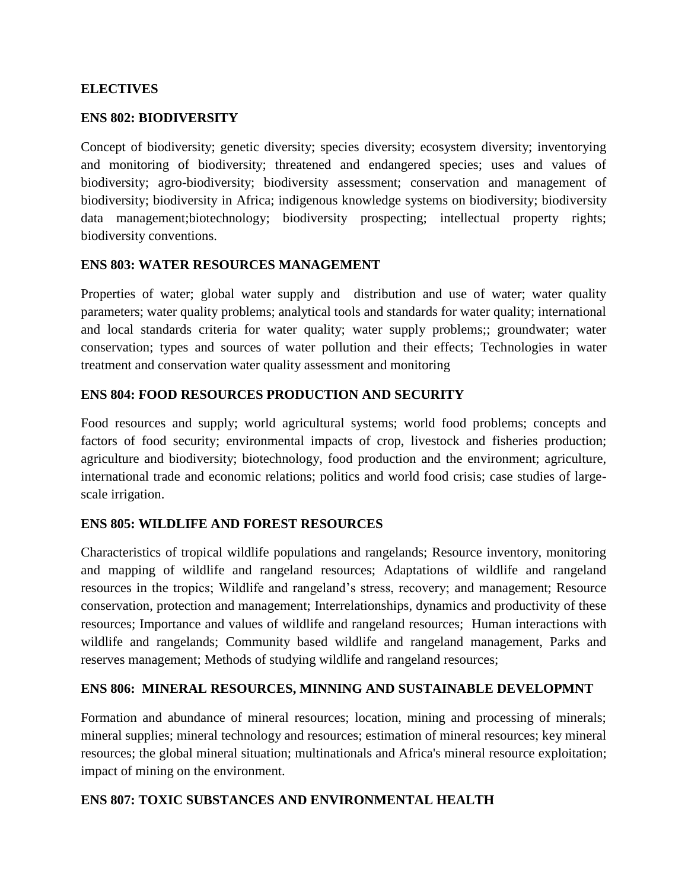## **ELECTIVES**

### **ENS 802: BIODIVERSITY**

Concept of biodiversity; genetic diversity; species diversity; ecosystem diversity; inventorying and monitoring of biodiversity; threatened and endangered species; uses and values of biodiversity; agro-biodiversity; biodiversity assessment; conservation and management of biodiversity; biodiversity in Africa; indigenous knowledge systems on biodiversity; biodiversity data management;biotechnology; biodiversity prospecting; intellectual property rights; biodiversity conventions.

#### **ENS 803: WATER RESOURCES MANAGEMENT**

Properties of water; global water supply and distribution and use of water; water quality parameters; water quality problems; analytical tools and standards for water quality; international and local standards criteria for water quality; water supply problems;; groundwater; water conservation; types and sources of water pollution and their effects; Technologies in water treatment and conservation water quality assessment and monitoring

### **ENS 804: FOOD RESOURCES PRODUCTION AND SECURITY**

Food resources and supply; world agricultural systems; world food problems; concepts and factors of food security; environmental impacts of crop, livestock and fisheries production; agriculture and biodiversity; biotechnology, food production and the environment; agriculture, international trade and economic relations; politics and world food crisis; case studies of largescale irrigation.

### **ENS 805: WILDLIFE AND FOREST RESOURCES**

Characteristics of tropical wildlife populations and rangelands; Resource inventory, monitoring and mapping of wildlife and rangeland resources; Adaptations of wildlife and rangeland resources in the tropics; Wildlife and rangeland's stress, recovery; and management; Resource conservation, protection and management; Interrelationships, dynamics and productivity of these resources; Importance and values of wildlife and rangeland resources; Human interactions with wildlife and rangelands; Community based wildlife and rangeland management, Parks and reserves management; Methods of studying wildlife and rangeland resources;

### **ENS 806: MINERAL RESOURCES, MINNING AND SUSTAINABLE DEVELOPMNT**

Formation and abundance of mineral resources; location, mining and processing of minerals; mineral supplies; mineral technology and resources; estimation of mineral resources; key mineral resources; the global mineral situation; multinationals and Africa's mineral resource exploitation; impact of mining on the environment.

### **ENS 807: TOXIC SUBSTANCES AND ENVIRONMENTAL HEALTH**